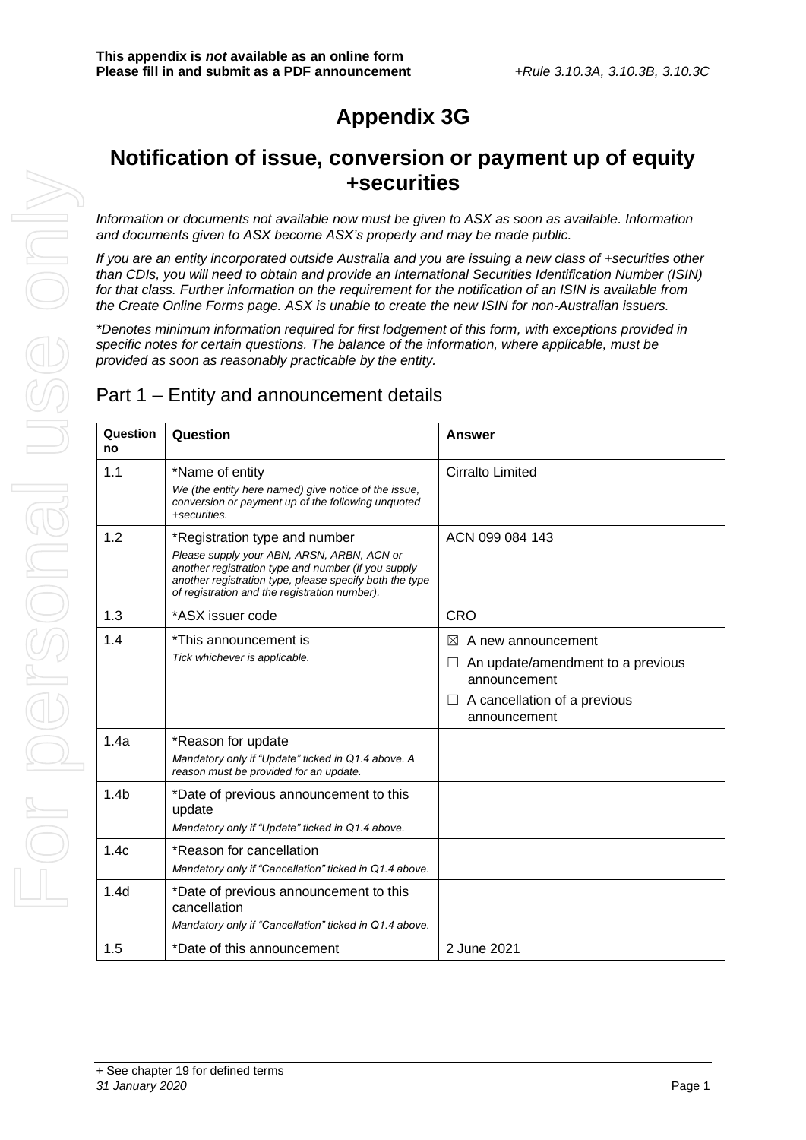# **Appendix 3G**

## **Notification of issue, conversion or payment up of equity +securities**

*Information or documents not available now must be given to ASX as soon as available. Information and documents given to ASX become ASX's property and may be made public.*

*If you are an entity incorporated outside Australia and you are issuing a new class of +securities other than CDIs, you will need to obtain and provide an International Securities Identification Number (ISIN) for that class. Further information on the requirement for the notification of an ISIN is available from the Create Online Forms page. ASX is unable to create the new ISIN for non-Australian issuers.*

*\*Denotes minimum information required for first lodgement of this form, with exceptions provided in specific notes for certain questions. The balance of the information, where applicable, must be provided as soon as reasonably practicable by the entity.*

### Part 1 – Entity and announcement details

| Question<br>no   | Question                                                                                                                                                                                                                                       | <b>Answer</b>                                                                                                                                  |
|------------------|------------------------------------------------------------------------------------------------------------------------------------------------------------------------------------------------------------------------------------------------|------------------------------------------------------------------------------------------------------------------------------------------------|
| 1.1              | *Name of entity<br>We (the entity here named) give notice of the issue,<br>conversion or payment up of the following unquoted<br>+securities.                                                                                                  | <b>Cirralto Limited</b>                                                                                                                        |
| 1.2              | *Registration type and number<br>Please supply your ABN, ARSN, ARBN, ACN or<br>another registration type and number (if you supply<br>another registration type, please specify both the type<br>of registration and the registration number). | ACN 099 084 143                                                                                                                                |
| 1.3              | *ASX issuer code                                                                                                                                                                                                                               | <b>CRO</b>                                                                                                                                     |
| 1.4              | *This announcement is<br>Tick whichever is applicable.                                                                                                                                                                                         | $\bowtie$<br>A new announcement<br>An update/amendment to a previous<br>announcement<br>A cancellation of a previous<br>$\Box$<br>announcement |
| 1.4a             | *Reason for update<br>Mandatory only if "Update" ticked in Q1.4 above. A<br>reason must be provided for an update.                                                                                                                             |                                                                                                                                                |
| 1.4 <sub>b</sub> | *Date of previous announcement to this<br>update<br>Mandatory only if "Update" ticked in Q1.4 above.                                                                                                                                           |                                                                                                                                                |
| 1.4c             | *Reason for cancellation<br>Mandatory only if "Cancellation" ticked in Q1.4 above.                                                                                                                                                             |                                                                                                                                                |
| 1.4d             | *Date of previous announcement to this<br>cancellation<br>Mandatory only if "Cancellation" ticked in Q1.4 above.                                                                                                                               |                                                                                                                                                |
| 1.5              | *Date of this announcement                                                                                                                                                                                                                     | 2 June 2021                                                                                                                                    |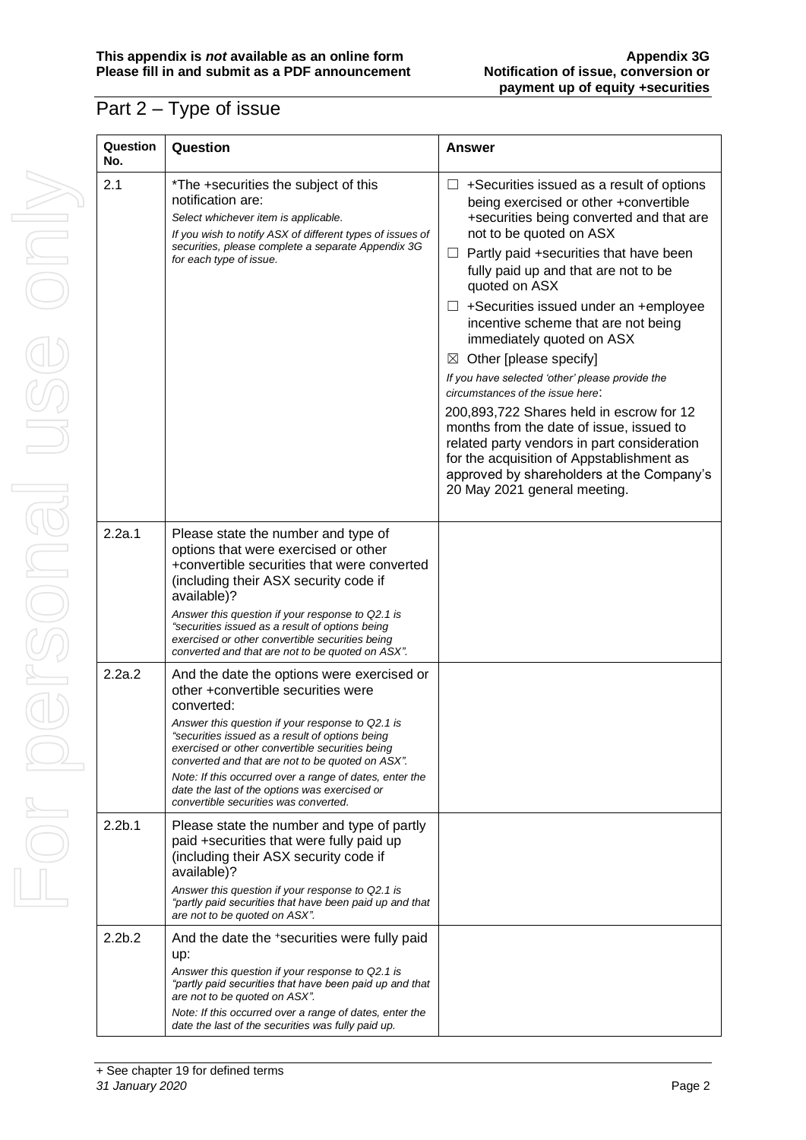**Question Answer** 

### Part 2 – Type of issue

**Question** 

| No.                |                                                                                                                                                                                                                                                                                                                                                                                                                                                                   |                                                                                                                                                                                                                                                                                                                                                                                                                                                                                                                                                                                                                                                                                                                                                                                          |
|--------------------|-------------------------------------------------------------------------------------------------------------------------------------------------------------------------------------------------------------------------------------------------------------------------------------------------------------------------------------------------------------------------------------------------------------------------------------------------------------------|------------------------------------------------------------------------------------------------------------------------------------------------------------------------------------------------------------------------------------------------------------------------------------------------------------------------------------------------------------------------------------------------------------------------------------------------------------------------------------------------------------------------------------------------------------------------------------------------------------------------------------------------------------------------------------------------------------------------------------------------------------------------------------------|
| 2.1                | *The +securities the subject of this<br>notification are:<br>Select whichever item is applicable.<br>If you wish to notify ASX of different types of issues of<br>securities, please complete a separate Appendix 3G<br>for each type of issue.                                                                                                                                                                                                                   | +Securities issued as a result of options<br>ш<br>being exercised or other +convertible<br>+securities being converted and that are<br>not to be quoted on ASX<br>Partly paid +securities that have been<br>ப<br>fully paid up and that are not to be<br>quoted on ASX<br>$\Box$ +Securities issued under an +employee<br>incentive scheme that are not being<br>immediately quoted on ASX<br>$\boxtimes$ Other [please specify]<br>If you have selected 'other' please provide the<br>circumstances of the issue here:<br>200,893,722 Shares held in escrow for 12<br>months from the date of issue, issued to<br>related party vendors in part consideration<br>for the acquisition of Appstablishment as<br>approved by shareholders at the Company's<br>20 May 2021 general meeting. |
| 2.2a.1             | Please state the number and type of<br>options that were exercised or other<br>+convertible securities that were converted<br>(including their ASX security code if<br>available)?<br>Answer this question if your response to Q2.1 is<br>"securities issued as a result of options being<br>exercised or other convertible securities being<br>converted and that are not to be quoted on ASX".                                                                  |                                                                                                                                                                                                                                                                                                                                                                                                                                                                                                                                                                                                                                                                                                                                                                                          |
| 2.2a.2             | And the date the options were exercised or<br>other +convertible securities were<br>converted:<br>Answer this question if your response to Q2.1 is<br>"securities issued as a result of options being<br>exercised or other convertible securities being<br>converted and that are not to be quoted on ASX".<br>Note: If this occurred over a range of dates, enter the<br>date the last of the options was exercised or<br>convertible securities was converted. |                                                                                                                                                                                                                                                                                                                                                                                                                                                                                                                                                                                                                                                                                                                                                                                          |
| 2.2 <sub>b.1</sub> | Please state the number and type of partly<br>paid +securities that were fully paid up<br>(including their ASX security code if<br>available)?<br>Answer this question if your response to Q2.1 is<br>"partly paid securities that have been paid up and that<br>are not to be quoted on ASX".                                                                                                                                                                    |                                                                                                                                                                                                                                                                                                                                                                                                                                                                                                                                                                                                                                                                                                                                                                                          |
| 2.2 <sub>b.2</sub> | And the date the +securities were fully paid<br>up:<br>Answer this question if your response to Q2.1 is<br>"partly paid securities that have been paid up and that<br>are not to be quoted on ASX".<br>Note: If this occurred over a range of dates, enter the<br>date the last of the securities was fully paid up.                                                                                                                                              |                                                                                                                                                                                                                                                                                                                                                                                                                                                                                                                                                                                                                                                                                                                                                                                          |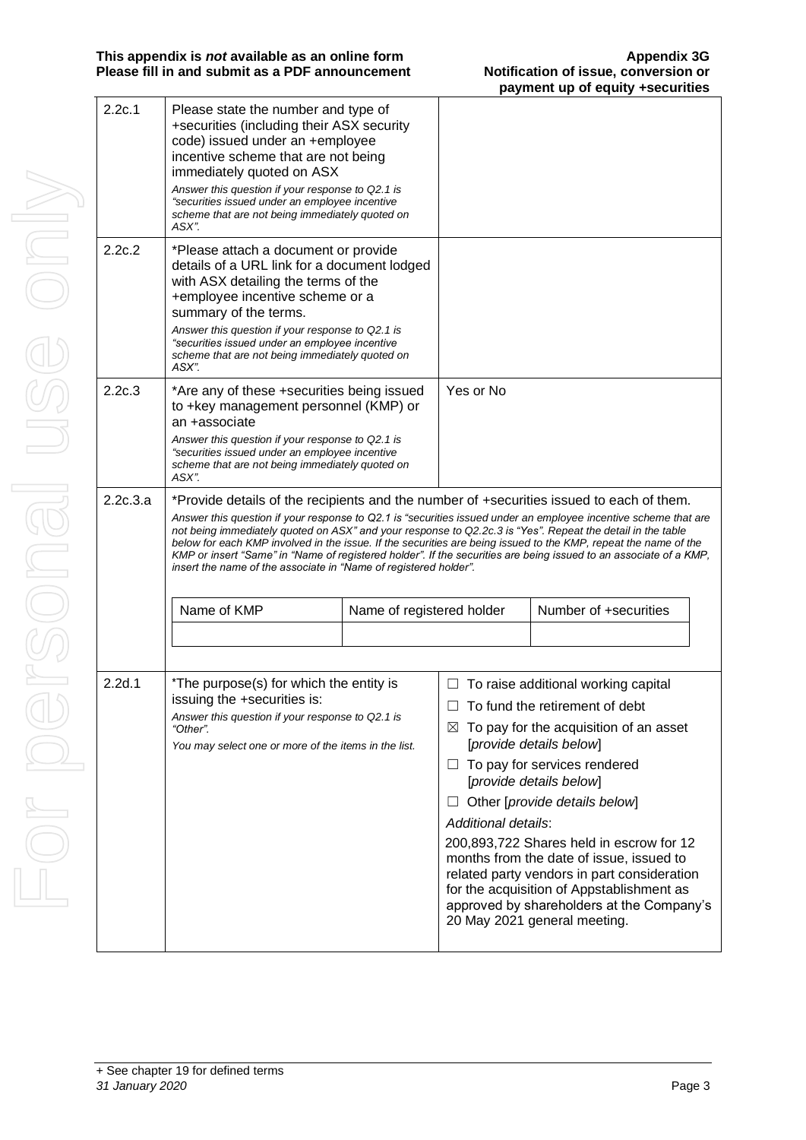| 2.2c.1   | Please state the number and type of<br>+securities (including their ASX security<br>code) issued under an +employee<br>incentive scheme that are not being<br>immediately quoted on ASX<br>Answer this question if your response to Q2.1 is<br>"securities issued under an employee incentive<br>scheme that are not being immediately quoted on<br>ASX".                                                                                                                                                                                                                                                                             |                           |                               |                                                                                                                                                                                                                                                                                                                                                                                                                                                                                                                |
|----------|---------------------------------------------------------------------------------------------------------------------------------------------------------------------------------------------------------------------------------------------------------------------------------------------------------------------------------------------------------------------------------------------------------------------------------------------------------------------------------------------------------------------------------------------------------------------------------------------------------------------------------------|---------------------------|-------------------------------|----------------------------------------------------------------------------------------------------------------------------------------------------------------------------------------------------------------------------------------------------------------------------------------------------------------------------------------------------------------------------------------------------------------------------------------------------------------------------------------------------------------|
| 2.2c.2   | *Please attach a document or provide<br>details of a URL link for a document lodged<br>with ASX detailing the terms of the<br>+employee incentive scheme or a<br>summary of the terms.<br>Answer this question if your response to Q2.1 is<br>"securities issued under an employee incentive<br>scheme that are not being immediately quoted on<br>ASX".                                                                                                                                                                                                                                                                              |                           |                               |                                                                                                                                                                                                                                                                                                                                                                                                                                                                                                                |
| 2.2c.3   | *Are any of these +securities being issued<br>to +key management personnel (KMP) or<br>an +associate<br>Answer this question if your response to Q2.1 is<br>"securities issued under an employee incentive<br>scheme that are not being immediately quoted on<br>ASX".                                                                                                                                                                                                                                                                                                                                                                |                           | Yes or No                     |                                                                                                                                                                                                                                                                                                                                                                                                                                                                                                                |
| 2.2c.3.a | *Provide details of the recipients and the number of +securities issued to each of them.<br>Answer this question if your response to Q2.1 is "securities issued under an employee incentive scheme that are<br>not being immediately quoted on ASX" and your response to Q2.2c.3 is "Yes". Repeat the detail in the table<br>below for each KMP involved in the issue. If the securities are being issued to the KMP, repeat the name of the<br>KMP or insert "Same" in "Name of registered holder". If the securities are being issued to an associate of a KMP,<br>insert the name of the associate in "Name of registered holder". |                           |                               |                                                                                                                                                                                                                                                                                                                                                                                                                                                                                                                |
|          | Name of KMP                                                                                                                                                                                                                                                                                                                                                                                                                                                                                                                                                                                                                           | Name of registered holder |                               | Number of +securities                                                                                                                                                                                                                                                                                                                                                                                                                                                                                          |
| 2.2d.1   | *The purpose(s) for which the entity is<br>issuing the +securities is:<br>Answer this question if your response to Q2.1 is<br>"Other".<br>You may select one or more of the items in the list.                                                                                                                                                                                                                                                                                                                                                                                                                                        |                           | ⊠<br>ш<br>Additional details: | $\Box$ To raise additional working capital<br>To fund the retirement of debt<br>To pay for the acquisition of an asset<br>[provide details below]<br>To pay for services rendered<br>[provide details below]<br>Other [provide details below]<br>200,893,722 Shares held in escrow for 12<br>months from the date of issue, issued to<br>related party vendors in part consideration<br>for the acquisition of Appstablishment as<br>approved by shareholders at the Company's<br>20 May 2021 general meeting. |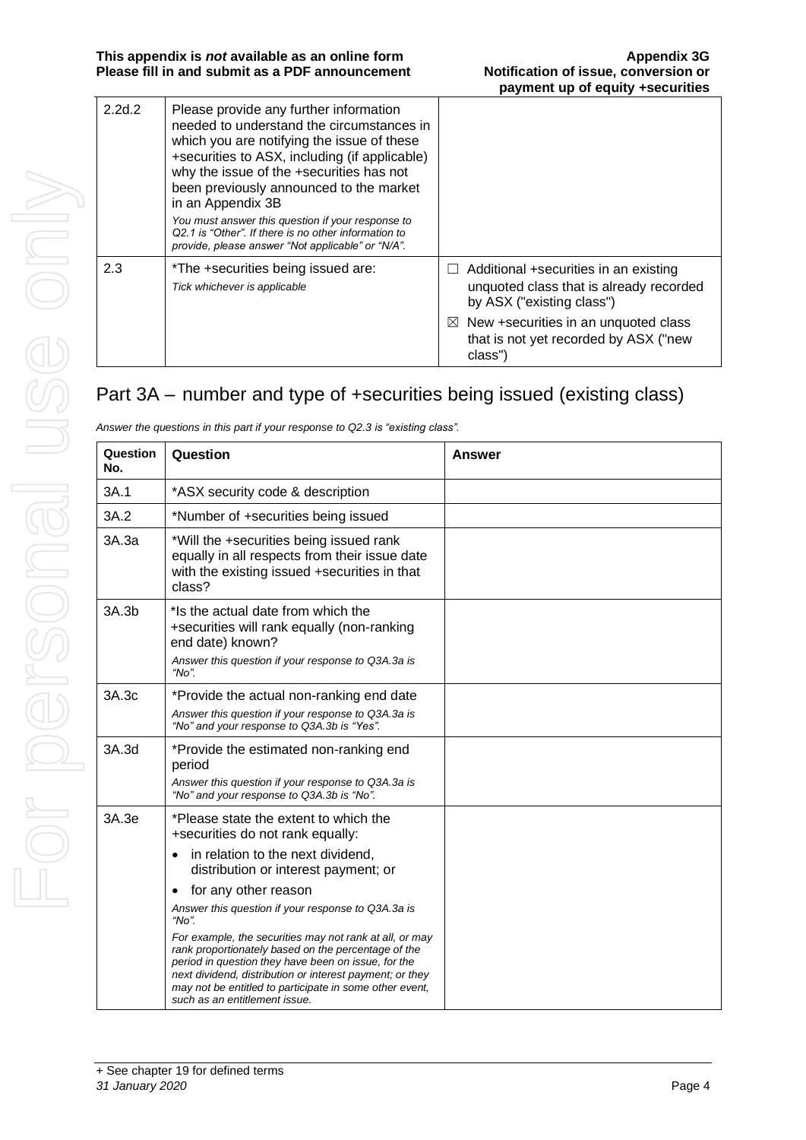**This appendix is** *not* **available as an online form Appendix 3G Please fill in and submit as a PDF announcement** 

| 2.2d.2 | Please provide any further information<br>needed to understand the circumstances in<br>which you are notifying the issue of these<br>+securities to ASX, including (if applicable)<br>why the issue of the +securities has not<br>been previously announced to the market<br>in an Appendix 3B<br>You must answer this question if your response to<br>Q2.1 is "Other". If there is no other information to<br>provide, please answer "Not applicable" or "N/A". |                                                                                                                                                                                                                       |
|--------|------------------------------------------------------------------------------------------------------------------------------------------------------------------------------------------------------------------------------------------------------------------------------------------------------------------------------------------------------------------------------------------------------------------------------------------------------------------|-----------------------------------------------------------------------------------------------------------------------------------------------------------------------------------------------------------------------|
| 2.3    | *The +securities being issued are:<br>Tick whichever is applicable                                                                                                                                                                                                                                                                                                                                                                                               | Additional +securities in an existing<br>unquoted class that is already recorded<br>by ASX ("existing class")<br>$\boxtimes$ New +securities in an unquoted class<br>that is not yet recorded by ASX ("new<br>class") |

## Part 3A – number and type of +securities being issued (existing class)

| Question<br>No. | Question                                                                                                                                                                                                                                                                                                                                                                                                                                                                                                                                                                                    | <b>Answer</b> |
|-----------------|---------------------------------------------------------------------------------------------------------------------------------------------------------------------------------------------------------------------------------------------------------------------------------------------------------------------------------------------------------------------------------------------------------------------------------------------------------------------------------------------------------------------------------------------------------------------------------------------|---------------|
| 3A.1            | *ASX security code & description                                                                                                                                                                                                                                                                                                                                                                                                                                                                                                                                                            |               |
| 3A.2            | *Number of +securities being issued                                                                                                                                                                                                                                                                                                                                                                                                                                                                                                                                                         |               |
| 3A.3a           | *Will the +securities being issued rank<br>equally in all respects from their issue date<br>with the existing issued +securities in that<br>class?                                                                                                                                                                                                                                                                                                                                                                                                                                          |               |
| 3A.3b           | *Is the actual date from which the<br>+securities will rank equally (non-ranking<br>end date) known?<br>Answer this question if your response to Q3A.3a is<br>"No"                                                                                                                                                                                                                                                                                                                                                                                                                          |               |
| 3A.3c           | *Provide the actual non-ranking end date<br>Answer this question if your response to Q3A.3a is<br>"No" and your response to Q3A.3b is "Yes".                                                                                                                                                                                                                                                                                                                                                                                                                                                |               |
| 3A.3d           | *Provide the estimated non-ranking end<br>period<br>Answer this question if your response to Q3A.3a is<br>"No" and your response to Q3A.3b is "No".                                                                                                                                                                                                                                                                                                                                                                                                                                         |               |
| 3A.3e           | *Please state the extent to which the<br>+securities do not rank equally:<br>in relation to the next dividend,<br>$\bullet$<br>distribution or interest payment; or<br>for any other reason<br>Answer this question if your response to Q3A.3a is<br>"No".<br>For example, the securities may not rank at all, or may<br>rank proportionately based on the percentage of the<br>period in question they have been on issue, for the<br>next dividend, distribution or interest payment; or they<br>may not be entitled to participate in some other event,<br>such as an entitlement issue. |               |

*Answer the questions in this part if your response to Q2.3 is "existing class".*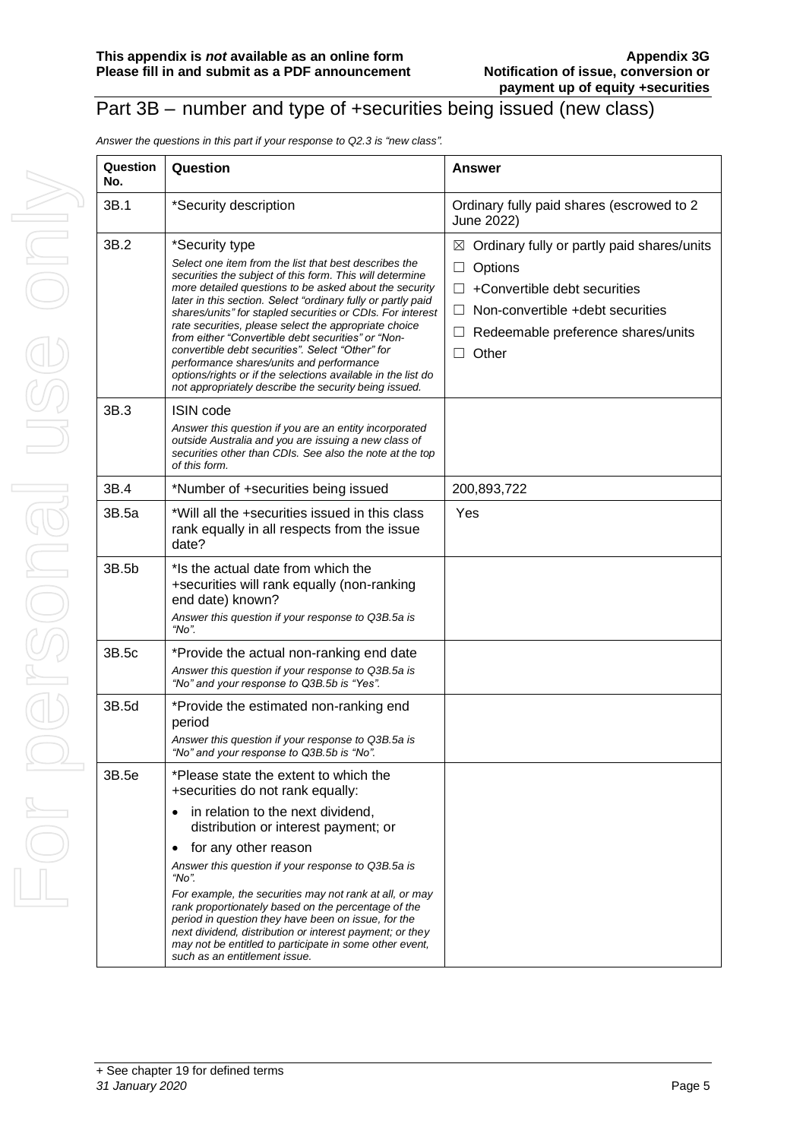### Part 3B – number and type of +securities being issued (new class)

*Answer the questions in this part if your response to Q2.3 is "new class".*

| Question<br>No. | Question                                                                                                                                                                                                                                                                                                                                                                                                                                                                                                                                                                                                                                                            | <b>Answer</b>                                                                                                                                                                                                 |
|-----------------|---------------------------------------------------------------------------------------------------------------------------------------------------------------------------------------------------------------------------------------------------------------------------------------------------------------------------------------------------------------------------------------------------------------------------------------------------------------------------------------------------------------------------------------------------------------------------------------------------------------------------------------------------------------------|---------------------------------------------------------------------------------------------------------------------------------------------------------------------------------------------------------------|
| 3B.1            | *Security description                                                                                                                                                                                                                                                                                                                                                                                                                                                                                                                                                                                                                                               | Ordinary fully paid shares (escrowed to 2<br>June 2022)                                                                                                                                                       |
| 3B.2            | *Security type<br>Select one item from the list that best describes the<br>securities the subject of this form. This will determine<br>more detailed questions to be asked about the security<br>later in this section. Select "ordinary fully or partly paid<br>shares/units" for stapled securities or CDIs. For interest<br>rate securities, please select the appropriate choice<br>from either "Convertible debt securities" or "Non-<br>convertible debt securities". Select "Other" for<br>performance shares/units and performance<br>options/rights or if the selections available in the list do<br>not appropriately describe the security being issued. | $\boxtimes$ Ordinary fully or partly paid shares/units<br>Options<br>ш<br>+Convertible debt securities<br>Non-convertible +debt securities<br>$\Box$<br>Redeemable preference shares/units<br>ш<br>Other<br>П |
| 3B.3            | <b>ISIN code</b><br>Answer this question if you are an entity incorporated<br>outside Australia and you are issuing a new class of<br>securities other than CDIs. See also the note at the top<br>of this form.                                                                                                                                                                                                                                                                                                                                                                                                                                                     |                                                                                                                                                                                                               |
| 3B.4            | *Number of +securities being issued                                                                                                                                                                                                                                                                                                                                                                                                                                                                                                                                                                                                                                 | 200,893,722                                                                                                                                                                                                   |
| 3B.5a           | *Will all the +securities issued in this class<br>rank equally in all respects from the issue<br>date?                                                                                                                                                                                                                                                                                                                                                                                                                                                                                                                                                              | Yes                                                                                                                                                                                                           |
| 3B.5b           | *Is the actual date from which the<br>+securities will rank equally (non-ranking<br>end date) known?<br>Answer this question if your response to Q3B.5a is<br>"No".                                                                                                                                                                                                                                                                                                                                                                                                                                                                                                 |                                                                                                                                                                                                               |
| 3B.5c           | *Provide the actual non-ranking end date<br>Answer this question if your response to Q3B.5a is<br>"No" and your response to Q3B.5b is "Yes".                                                                                                                                                                                                                                                                                                                                                                                                                                                                                                                        |                                                                                                                                                                                                               |
| 3B.5d           | *Provide the estimated non-ranking end<br>period<br>Answer this question if your response to Q3B.5a is<br>"No" and your response to Q3B.5b is "No".                                                                                                                                                                                                                                                                                                                                                                                                                                                                                                                 |                                                                                                                                                                                                               |
| 3B.5e           | *Please state the extent to which the<br>+securities do not rank equally:<br>in relation to the next dividend,<br>$\bullet$<br>distribution or interest payment; or<br>for any other reason<br>$\bullet$<br>Answer this question if your response to Q3B.5a is<br>"No".<br>For example, the securities may not rank at all, or may<br>rank proportionately based on the percentage of the<br>period in question they have been on issue, for the<br>next dividend, distribution or interest payment; or they<br>may not be entitled to participate in some other event,<br>such as an entitlement issue.                                                            |                                                                                                                                                                                                               |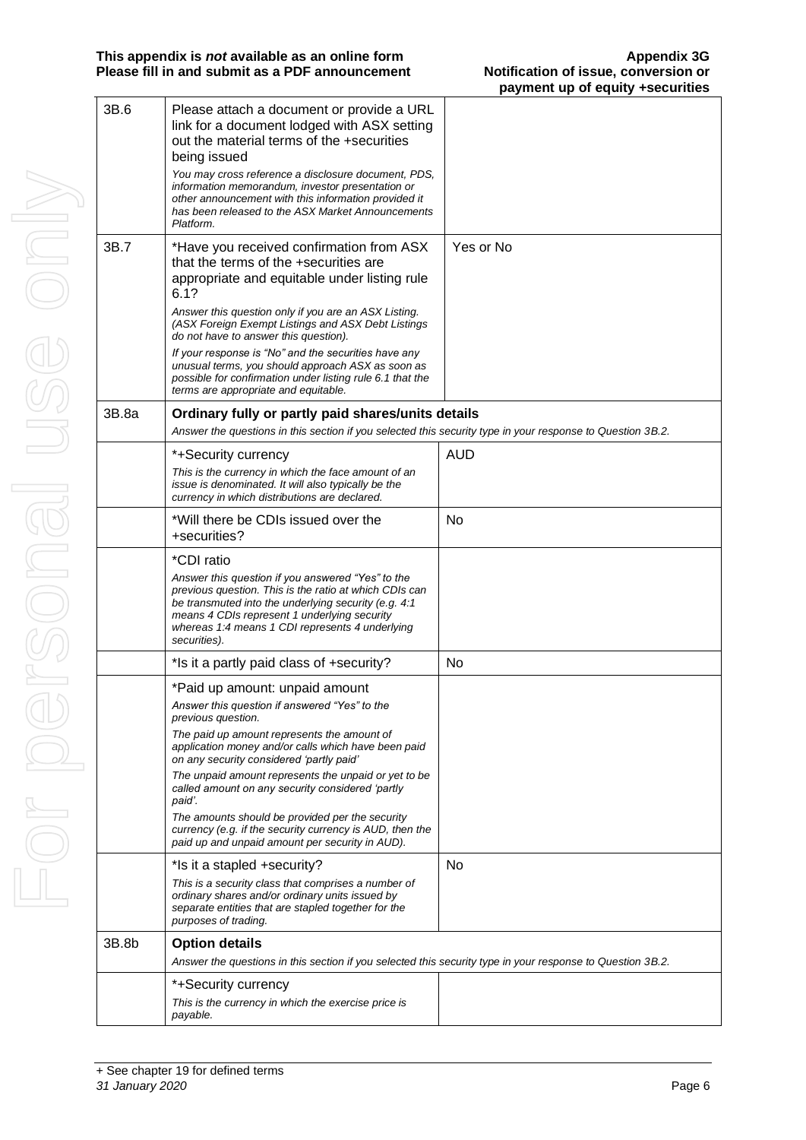| 3B.6  | Please attach a document or provide a URL<br>link for a document lodged with ASX setting<br>out the material terms of the +securities<br>being issued<br>You may cross reference a disclosure document, PDS,<br>information memorandum, investor presentation or<br>other announcement with this information provided it<br>has been released to the ASX Market Announcements<br>Platform.                                                                                                                         |            |
|-------|--------------------------------------------------------------------------------------------------------------------------------------------------------------------------------------------------------------------------------------------------------------------------------------------------------------------------------------------------------------------------------------------------------------------------------------------------------------------------------------------------------------------|------------|
| 3B.7  | *Have you received confirmation from ASX<br>that the terms of the +securities are<br>appropriate and equitable under listing rule<br>6.1?<br>Answer this question only if you are an ASX Listing.<br>(ASX Foreign Exempt Listings and ASX Debt Listings<br>do not have to answer this question).<br>If your response is "No" and the securities have any<br>unusual terms, you should approach ASX as soon as<br>possible for confirmation under listing rule 6.1 that the<br>terms are appropriate and equitable. | Yes or No  |
| 3B.8a | Ordinary fully or partly paid shares/units details<br>Answer the questions in this section if you selected this security type in your response to Question 3B.2.                                                                                                                                                                                                                                                                                                                                                   |            |
|       | *+Security currency<br>This is the currency in which the face amount of an<br>issue is denominated. It will also typically be the<br>currency in which distributions are declared.                                                                                                                                                                                                                                                                                                                                 | <b>AUD</b> |
|       | *Will there be CDIs issued over the<br>+securities?                                                                                                                                                                                                                                                                                                                                                                                                                                                                | <b>No</b>  |
|       | *CDI ratio<br>Answer this question if you answered "Yes" to the<br>previous question. This is the ratio at which CDIs can<br>be transmuted into the underlying security (e.g. 4.1)<br>means 4 CDIs represent 1 underlying security<br>whereas 1:4 means 1 CDI represents 4 underlying<br>securities).                                                                                                                                                                                                              |            |
|       | *Is it a partly paid class of +security?                                                                                                                                                                                                                                                                                                                                                                                                                                                                           | No.        |
|       | *Paid up amount: unpaid amount<br>Answer this question if answered "Yes" to the<br>previous question.<br>The paid up amount represents the amount of<br>application money and/or calls which have been paid<br>on any security considered 'partly paid'                                                                                                                                                                                                                                                            |            |
|       | The unpaid amount represents the unpaid or yet to be<br>called amount on any security considered 'partly<br>paid'.<br>The amounts should be provided per the security<br>currency (e.g. if the security currency is AUD, then the<br>paid up and unpaid amount per security in AUD).                                                                                                                                                                                                                               |            |
|       | *Is it a stapled +security?                                                                                                                                                                                                                                                                                                                                                                                                                                                                                        | No         |
|       | This is a security class that comprises a number of<br>ordinary shares and/or ordinary units issued by<br>separate entities that are stapled together for the<br>purposes of trading.                                                                                                                                                                                                                                                                                                                              |            |
| 3B.8b | <b>Option details</b>                                                                                                                                                                                                                                                                                                                                                                                                                                                                                              |            |
|       | Answer the questions in this section if you selected this security type in your response to Question 3B.2.                                                                                                                                                                                                                                                                                                                                                                                                         |            |
|       | *+Security currency                                                                                                                                                                                                                                                                                                                                                                                                                                                                                                |            |
|       | This is the currency in which the exercise price is<br>payable.                                                                                                                                                                                                                                                                                                                                                                                                                                                    |            |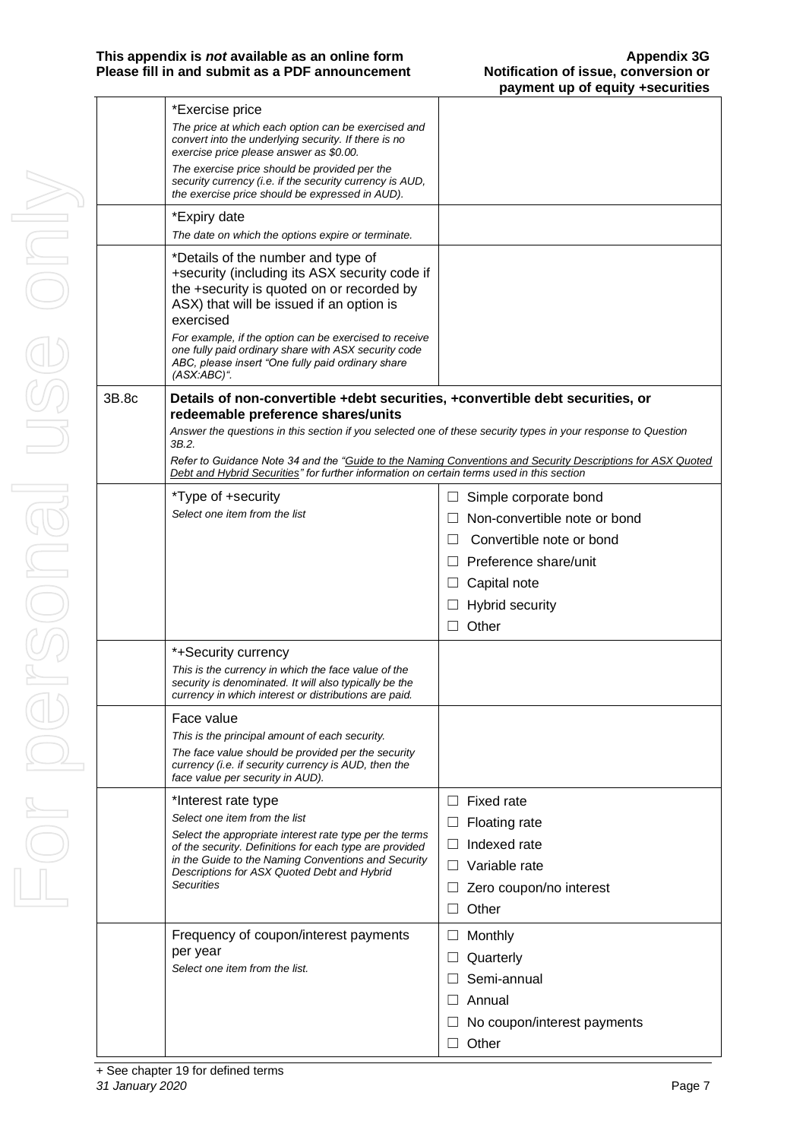|                   |                                                                                                                                                                                                                                                                                                             | payment up or equity +securities                                                                            |
|-------------------|-------------------------------------------------------------------------------------------------------------------------------------------------------------------------------------------------------------------------------------------------------------------------------------------------------------|-------------------------------------------------------------------------------------------------------------|
|                   | *Exercise price                                                                                                                                                                                                                                                                                             |                                                                                                             |
|                   | The price at which each option can be exercised and<br>convert into the underlying security. If there is no                                                                                                                                                                                                 |                                                                                                             |
|                   | exercise price please answer as \$0.00.                                                                                                                                                                                                                                                                     |                                                                                                             |
|                   | The exercise price should be provided per the<br>security currency (i.e. if the security currency is AUD,                                                                                                                                                                                                   |                                                                                                             |
|                   | the exercise price should be expressed in AUD).                                                                                                                                                                                                                                                             |                                                                                                             |
|                   | *Expiry date                                                                                                                                                                                                                                                                                                |                                                                                                             |
|                   | The date on which the options expire or terminate.                                                                                                                                                                                                                                                          |                                                                                                             |
|                   | *Details of the number and type of<br>+security (including its ASX security code if<br>the +security is quoted on or recorded by<br>ASX) that will be issued if an option is<br>exercised<br>For example, if the option can be exercised to receive<br>one fully paid ordinary share with ASX security code |                                                                                                             |
|                   | ABC, please insert "One fully paid ordinary share<br>$(ASK:ABC)^{n}$ .                                                                                                                                                                                                                                      |                                                                                                             |
| 3B.8c             | Details of non-convertible +debt securities, +convertible debt securities, or<br>redeemable preference shares/units                                                                                                                                                                                         |                                                                                                             |
|                   | Answer the questions in this section if you selected one of these security types in your response to Question<br>3B.2.                                                                                                                                                                                      |                                                                                                             |
|                   | Debt and Hybrid Securities" for further information on certain terms used in this section                                                                                                                                                                                                                   | Refer to Guidance Note 34 and the "Guide to the Naming Conventions and Security Descriptions for ASX Quoted |
|                   | *Type of +security                                                                                                                                                                                                                                                                                          | Simple corporate bond<br>$\Box$                                                                             |
|                   | Select one item from the list                                                                                                                                                                                                                                                                               | Non-convertible note or bond<br>$\perp$                                                                     |
|                   |                                                                                                                                                                                                                                                                                                             | Convertible note or bond<br>$\perp$                                                                         |
|                   |                                                                                                                                                                                                                                                                                                             | $\Box$ Preference share/unit                                                                                |
|                   |                                                                                                                                                                                                                                                                                                             | Capital note<br>⊔                                                                                           |
|                   |                                                                                                                                                                                                                                                                                                             | Hybrid security<br>ப                                                                                        |
|                   |                                                                                                                                                                                                                                                                                                             | Other<br>$\perp$                                                                                            |
|                   | *+Security currency                                                                                                                                                                                                                                                                                         |                                                                                                             |
|                   | This is the currency in which the face value of the<br>security is denominated. It will also typically be the<br>currency in which interest or distributions are paid.                                                                                                                                      |                                                                                                             |
|                   | Face value                                                                                                                                                                                                                                                                                                  |                                                                                                             |
|                   | This is the principal amount of each security.                                                                                                                                                                                                                                                              |                                                                                                             |
|                   | The face value should be provided per the security<br>currency (i.e. if security currency is AUD, then the<br>face value per security in AUD).                                                                                                                                                              |                                                                                                             |
|                   | *Interest rate type                                                                                                                                                                                                                                                                                         | <b>Fixed rate</b><br>$\perp$                                                                                |
|                   | Select one item from the list                                                                                                                                                                                                                                                                               | <b>Floating rate</b><br>ப                                                                                   |
|                   | Select the appropriate interest rate type per the terms<br>of the security. Definitions for each type are provided                                                                                                                                                                                          | Indexed rate<br>$\Box$                                                                                      |
|                   | in the Guide to the Naming Conventions and Security<br>Descriptions for ASX Quoted Debt and Hybrid                                                                                                                                                                                                          | Variable rate<br>$\perp$                                                                                    |
| <b>Securities</b> |                                                                                                                                                                                                                                                                                                             | Zero coupon/no interest<br>⊔                                                                                |
|                   |                                                                                                                                                                                                                                                                                                             | Other                                                                                                       |
|                   | Frequency of coupon/interest payments                                                                                                                                                                                                                                                                       | Monthly<br>ப                                                                                                |
|                   | per year<br>Select one item from the list.                                                                                                                                                                                                                                                                  | Quarterly<br>⊔                                                                                              |
|                   |                                                                                                                                                                                                                                                                                                             | Semi-annual                                                                                                 |
|                   |                                                                                                                                                                                                                                                                                                             | Annual                                                                                                      |
|                   |                                                                                                                                                                                                                                                                                                             | No coupon/interest payments<br>$\sqcup$                                                                     |
|                   |                                                                                                                                                                                                                                                                                                             | Other                                                                                                       |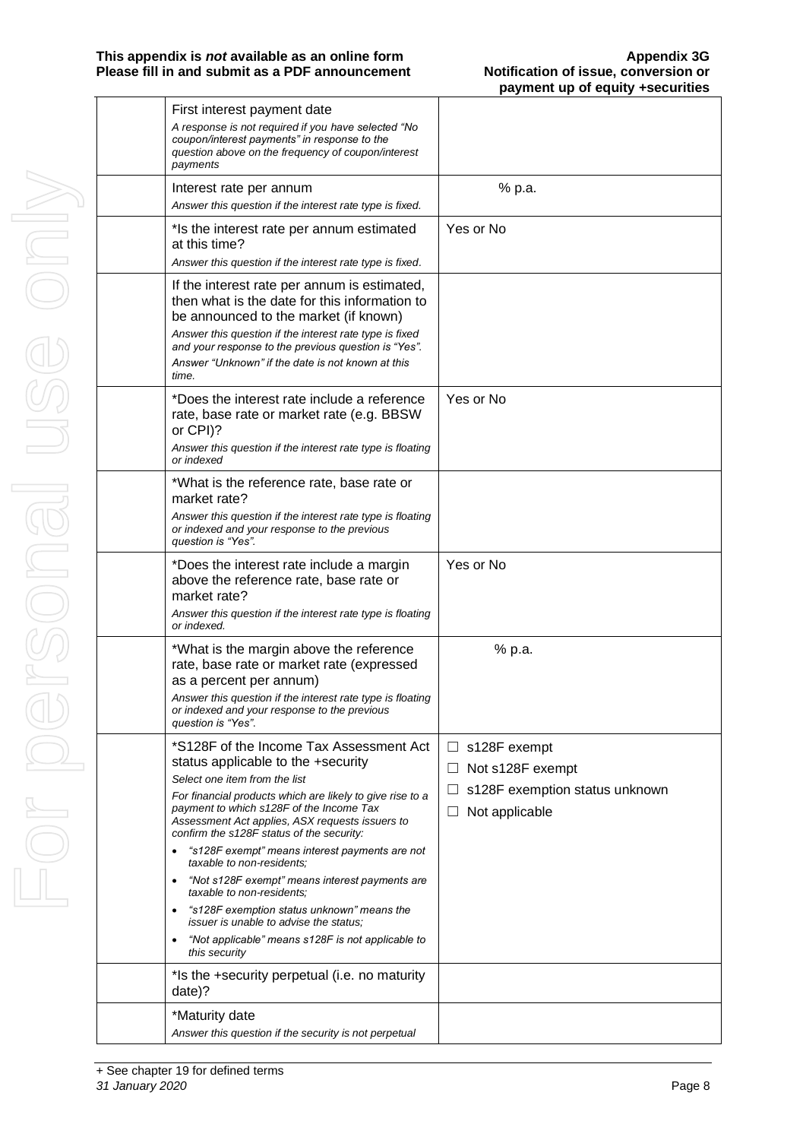#### **This appendix is** *not* **available as an online form<br>
<b>Please fill in and submit as a PDF announcement Alternative Motification of issue, conversion or Please fill in and submit as a PDF announcement**

| First interest payment date<br>A response is not required if you have selected "No<br>coupon/interest payments" in response to the<br>question above on the frequency of coupon/interest<br>payments                                                                                                                                                                                                   |                                                                                                          |
|--------------------------------------------------------------------------------------------------------------------------------------------------------------------------------------------------------------------------------------------------------------------------------------------------------------------------------------------------------------------------------------------------------|----------------------------------------------------------------------------------------------------------|
| Interest rate per annum<br>Answer this question if the interest rate type is fixed.                                                                                                                                                                                                                                                                                                                    | % p.a.                                                                                                   |
| *Is the interest rate per annum estimated<br>at this time?<br>Answer this question if the interest rate type is fixed.                                                                                                                                                                                                                                                                                 | Yes or No                                                                                                |
| If the interest rate per annum is estimated,<br>then what is the date for this information to<br>be announced to the market (if known)<br>Answer this question if the interest rate type is fixed<br>and your response to the previous question is "Yes".<br>Answer "Unknown" if the date is not known at this<br>time.                                                                                |                                                                                                          |
| *Does the interest rate include a reference<br>rate, base rate or market rate (e.g. BBSW<br>or CPI)?<br>Answer this question if the interest rate type is floating                                                                                                                                                                                                                                     | Yes or No                                                                                                |
| or indexed<br>*What is the reference rate, base rate or<br>market rate?<br>Answer this question if the interest rate type is floating<br>or indexed and your response to the previous<br>question is "Yes".                                                                                                                                                                                            |                                                                                                          |
| *Does the interest rate include a margin<br>above the reference rate, base rate or<br>market rate?<br>Answer this question if the interest rate type is floating<br>or indexed.                                                                                                                                                                                                                        | Yes or No                                                                                                |
| *What is the margin above the reference<br>rate, base rate or market rate (expressed<br>as a percent per annum)<br>Answer this question if the interest rate type is floating<br>or indexed and your response to the previous<br>question is "Yes".                                                                                                                                                    | % p.a.                                                                                                   |
| *S128F of the Income Tax Assessment Act<br>status applicable to the +security<br>Select one item from the list<br>For financial products which are likely to give rise to a<br>payment to which s128F of the Income Tax<br>Assessment Act applies, ASX requests issuers to<br>confirm the s128F status of the security:<br>"s128F exempt" means interest payments are not<br>taxable to non-residents; | s128F exempt<br>Ш<br>Not s128F exempt<br>⊔<br>s128F exemption status unknown<br>Not applicable<br>$\Box$ |
| "Not s128F exempt" means interest payments are<br>$\bullet$<br>taxable to non-residents;<br>"s128F exemption status unknown" means the<br><i>issuer is unable to advise the status:</i><br>"Not applicable" means s128F is not applicable to<br>$\bullet$<br>this security                                                                                                                             |                                                                                                          |
| *Is the +security perpetual (i.e. no maturity<br>date)?                                                                                                                                                                                                                                                                                                                                                |                                                                                                          |
| *Maturity date<br>Answer this question if the security is not perpetual                                                                                                                                                                                                                                                                                                                                |                                                                                                          |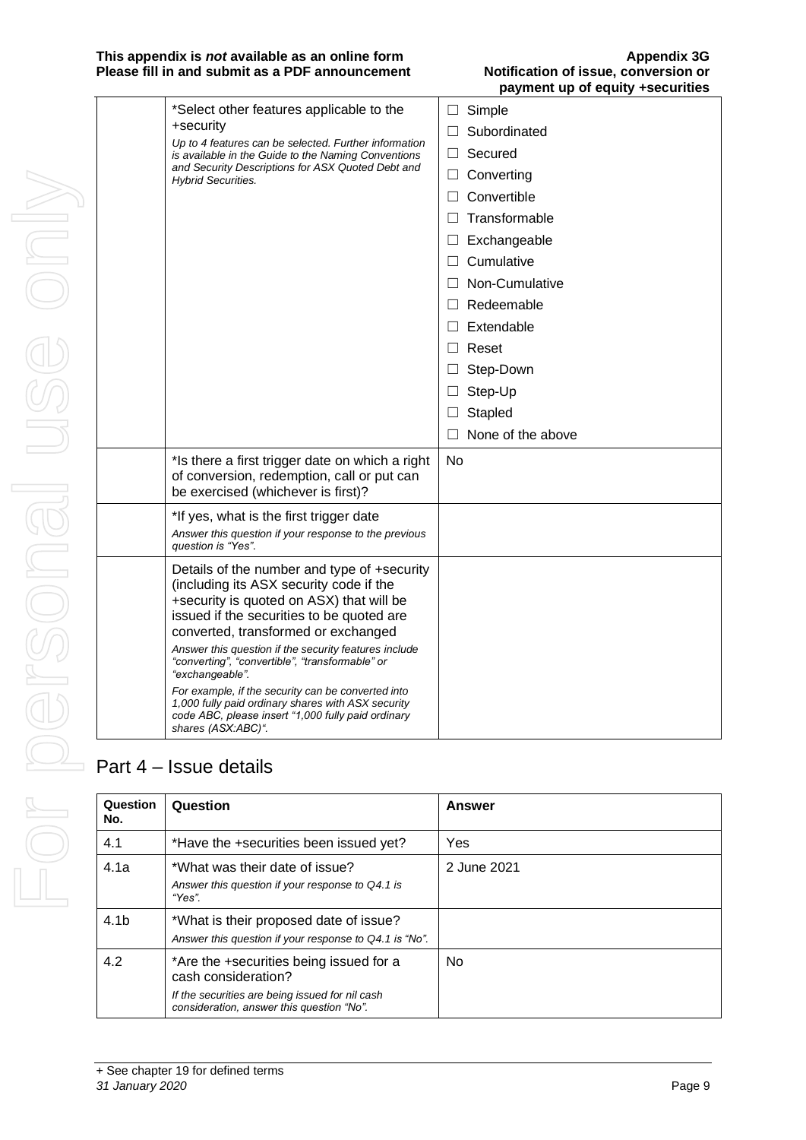#### **This appendix is** *not* **available as an online form<br>
<b>Please fill in and submit as a PDF announcement Alternative Motification of issue, conversion or Please fill in and submit as a PDF announcement**

| *Select other features applicable to the<br>+security<br>Up to 4 features can be selected. Further information<br>is available in the Guide to the Naming Conventions<br>and Security Descriptions for ASX Quoted Debt and<br><b>Hybrid Securities.</b>                                                                                                                                                                                                                                                                                       | Simple<br>Subordinated<br>Secured<br>$\Box$<br>Converting<br>ш<br>Convertible<br>Transformable<br>$\Box$<br>Exchangeable<br>⊔<br>Cumulative<br>Non-Cumulative<br>$\Box$<br>Redeemable<br>$\Box$<br>Extendable<br>$\perp$<br>Reset<br>$\perp$<br>Step-Down<br>$\Box$<br>Step-Up<br>⊔ |
|-----------------------------------------------------------------------------------------------------------------------------------------------------------------------------------------------------------------------------------------------------------------------------------------------------------------------------------------------------------------------------------------------------------------------------------------------------------------------------------------------------------------------------------------------|-------------------------------------------------------------------------------------------------------------------------------------------------------------------------------------------------------------------------------------------------------------------------------------|
|                                                                                                                                                                                                                                                                                                                                                                                                                                                                                                                                               | Stapled<br>⊔<br>None of the above                                                                                                                                                                                                                                                   |
| *Is there a first trigger date on which a right<br>of conversion, redemption, call or put can<br>be exercised (whichever is first)?                                                                                                                                                                                                                                                                                                                                                                                                           | <b>No</b>                                                                                                                                                                                                                                                                           |
| *If yes, what is the first trigger date<br>Answer this question if your response to the previous<br>auestion is "Yes".                                                                                                                                                                                                                                                                                                                                                                                                                        |                                                                                                                                                                                                                                                                                     |
| Details of the number and type of +security<br>(including its ASX security code if the<br>+security is quoted on ASX) that will be<br>issued if the securities to be quoted are<br>converted, transformed or exchanged<br>Answer this question if the security features include<br>"converting", "convertible", "transformable" or<br>"exchangeable".<br>For example, if the security can be converted into<br>1,000 fully paid ordinary shares with ASX security<br>code ABC, please insert "1,000 fully paid ordinary<br>shares (ASX:ABC)". |                                                                                                                                                                                                                                                                                     |

## Part 4 – Issue details

| Question<br>No.  | Question                                                                                                                                                       | Answer         |
|------------------|----------------------------------------------------------------------------------------------------------------------------------------------------------------|----------------|
| 4.1              | *Have the +securities been issued yet?                                                                                                                         | Yes            |
| 4.1a             | *What was their date of issue?<br>Answer this question if your response to Q4.1 is<br>"Yes"                                                                    | 2 June 2021    |
| 4.1 <sub>b</sub> | *What is their proposed date of issue?<br>Answer this question if your response to Q4.1 is "No".                                                               |                |
| 4.2              | *Are the +securities being issued for a<br>cash consideration?<br>If the securities are being issued for nil cash<br>consideration, answer this question "No". | N <sub>0</sub> |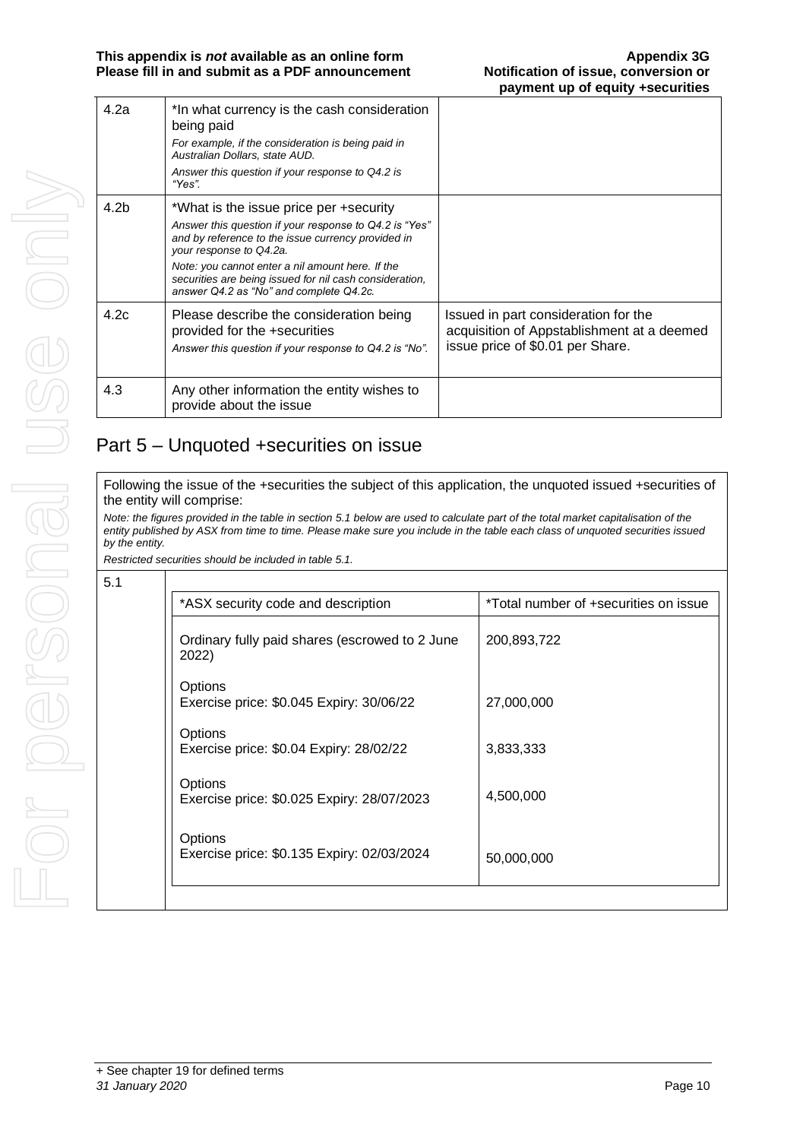| 4.2a             | *In what currency is the cash consideration<br>being paid<br>For example, if the consideration is being paid in<br>Australian Dollars, state AUD.<br>Answer this question if your response to Q4.2 is<br>"Yes".                                                                                                                             |                                                                                                                        |
|------------------|---------------------------------------------------------------------------------------------------------------------------------------------------------------------------------------------------------------------------------------------------------------------------------------------------------------------------------------------|------------------------------------------------------------------------------------------------------------------------|
| 4.2 <sub>b</sub> | *What is the issue price per +security<br>Answer this question if your response to Q4.2 is "Yes"<br>and by reference to the issue currency provided in<br>your response to Q4.2a.<br>Note: you cannot enter a nil amount here. If the<br>securities are being issued for nil cash consideration,<br>answer Q4.2 as "No" and complete Q4.2c. |                                                                                                                        |
| 4.2c             | Please describe the consideration being<br>provided for the +securities<br>Answer this question if your response to Q4.2 is "No".                                                                                                                                                                                                           | Issued in part consideration for the<br>acquisition of Appstablishment at a deemed<br>issue price of \$0.01 per Share. |
| 4.3              | Any other information the entity wishes to<br>provide about the issue                                                                                                                                                                                                                                                                       |                                                                                                                        |

## Part 5 – Unquoted +securities on issue

Following the issue of the +securities the subject of this application, the unquoted issued +securities of the entity will comprise:

*Note: the figures provided in the table in section 5.1 below are used to calculate part of the total market capitalisation of the entity published by ASX from time to time. Please make sure you include in the table each class of unquoted securities issued by the entity.*

*Restricted securities should be included in table 5.1.*

| *ASX security code and description                      | *Total number of +securities on issue |
|---------------------------------------------------------|---------------------------------------|
| Ordinary fully paid shares (escrowed to 2 June<br>2022) | 200,893,722                           |
| Options<br>Exercise price: \$0.045 Expiry: 30/06/22     | 27,000,000                            |
| Options<br>Exercise price: \$0.04 Expiry: 28/02/22      | 3,833,333                             |
| Options<br>Exercise price: \$0.025 Expiry: 28/07/2023   | 4,500,000                             |
| Options<br>Exercise price: \$0.135 Expiry: 02/03/2024   | 50,000,000                            |

5.1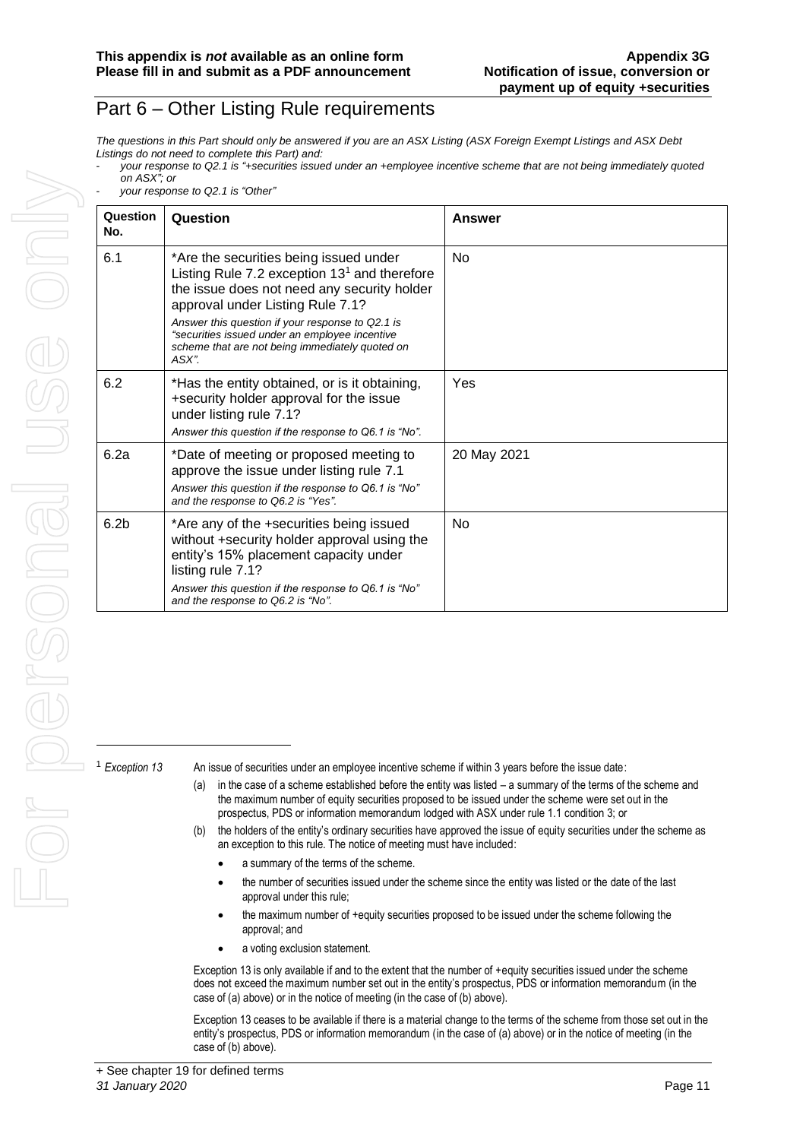### Part 6 – Other Listing Rule requirements

*The questions in this Part should only be answered if you are an ASX Listing (ASX Foreign Exempt Listings and ASX Debt Listings do not need to complete this Part) and:*

| your response to Q2.1 is "+securities issued under an +employee incentive scheme that are not being immediately quoted |  |  |  |  |
|------------------------------------------------------------------------------------------------------------------------|--|--|--|--|
| on ASX"; or                                                                                                            |  |  |  |  |

- *your response to Q2.1 is "Other"*

| Question<br>No.  | Question                                                                                                                                                                                                                                                                                                                                      | Answer      |
|------------------|-----------------------------------------------------------------------------------------------------------------------------------------------------------------------------------------------------------------------------------------------------------------------------------------------------------------------------------------------|-------------|
| 6.1              | *Are the securities being issued under<br>Listing Rule 7.2 exception $131$ and therefore<br>the issue does not need any security holder<br>approval under Listing Rule 7.1?<br>Answer this question if your response to Q2.1 is<br>"securities issued under an employee incentive<br>scheme that are not being immediately quoted on<br>ASX". | <b>No</b>   |
| 6.2              | *Has the entity obtained, or is it obtaining,<br>+security holder approval for the issue<br>under listing rule 7.1?<br>Answer this question if the response to Q6.1 is "No".                                                                                                                                                                  | Yes         |
| 6.2a             | *Date of meeting or proposed meeting to<br>approve the issue under listing rule 7.1<br>Answer this question if the response to Q6.1 is "No"<br>and the response to Q6.2 is "Yes".                                                                                                                                                             | 20 May 2021 |
| 6.2 <sub>b</sub> | *Are any of the +securities being issued<br>without +security holder approval using the<br>entity's 15% placement capacity under<br>listing rule 7.1?<br>Answer this question if the response to Q6.1 is "No"<br>and the response to Q6.2 is "No".                                                                                            | No          |

<sup>1</sup> *Exception 13* An issue of securities under an employee incentive scheme if within 3 years before the issue date:

- (a) in the case of a scheme established before the entity was listed a summary of the terms of the scheme and the maximum number of equity securities proposed to be issued under the scheme were set out in the prospectus, PDS or information memorandum lodged with ASX under rule 1.1 condition 3; or
- (b) the holders of the entity's ordinary securities have approved the issue of equity securities under the scheme as an exception to this rule. The notice of meeting must have included:
	- a summary of the terms of the scheme.
	- the number of securities issued under the scheme since the entity was listed or the date of the last approval under this rule;
	- the maximum number of +equity securities proposed to be issued under the scheme following the approval; and
	- a voting exclusion statement.

Exception 13 is only available if and to the extent that the number of +equity securities issued under the scheme does not exceed the maximum number set out in the entity's prospectus, PDS or information memorandum (in the case of (a) above) or in the notice of meeting (in the case of (b) above).

Exception 13 ceases to be available if there is a material change to the terms of the scheme from those set out in the entity's prospectus, PDS or information memorandum (in the case of (a) above) or in the notice of meeting (in the case of (b) above).